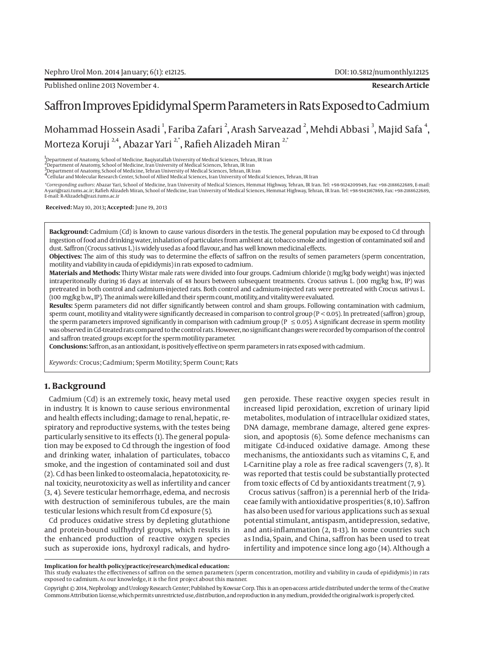# Saffron Improves Epididymal Sperm Parameters in Rats Exposed to Cadmium

Mohammad Hossein Asadi  $^{\rm l}$ , Fariba Zafari  $^{\rm 2}$ , Arash Sarveazad  $^{\rm 2}$ , Mehdi Abbasi  $^{\rm 3}$ , Majid Safa  $^{\rm 4}$ , Morteza Koruji<sup>2,4</sup>, Abazar Yari<sup>2,\*</sup>, Rafieh Alizadeh Miran<sup>2,\*</sup>

1 Department of Anatomy, School of Medicine, Baqiyatallah University of Medical Sciences, Tehran, IR Iran

2<br>2 Department of Anatomy, School of Medicine, Iran University of Medical Sciences, Tehran, IR Iran

3-<br>2 Department of Anatomy, School of Medicine, Tehran University of Medical Sciences, Tehran, IR Iran<br><sup>4</sup> Cellular and Molecular Research Center, School of Allied Medical Sciences, Iran University of Medical Sciences, Teh

*\*Corresponding authors*: Abazar Yari, School of Medicine, Iran University of Medical Sciences, Hemmat Highway, Tehran, IR Iran. Tel: +98-9124209949, Fax: +98-2188622689, E-mail: A-yari@razi.tums.ac.ir; Rafieh Alizadeh Miran, School of Medicine, Iran University of Medical Sciences, Hemmat Highway, Tehran, IR Iran. Tel: +98-9143167869, Fax: +98-2188622689, E-mail: R-Alizadeh@razi.tums.ac.ir

 **Received:** May 10, 2013**; Accepted:** June 19, 2013

**Background:** Cadmium (Cd) is known to cause various disorders in the testis. The general population may be exposed to Cd through ingestion of food and drinking water, inhalation of particulates from ambient air, tobacco smoke and ingestion of contaminated soil and dust. Saffron (Crocus sativus L.) is widely used as a food flavour, and has well known medicinal effects.

**Objectives:** The aim of this study was to determine the effects of saffron on the results of semen parameters (sperm concentration, motility and viability in cauda of epididymis) in rats exposed to cadmium.

**Materials and Methods:** Thirty Wistar male rats were divided into four groups. Cadmium chloride (1 mg/kg body weight) was injected intraperitoneally during 16 days at intervals of 48 hours between subsequent treatments. Crocus sativus L. (100 mg/kg b.w., IP) was pretreated in both control and cadmium-injected rats. Both control and cadmium-injected rats were pretreated with Crocus sativus L. (100 mg/kg b.w., IP). The animals were killed and their sperm count, motility, and vitality were evaluated.

**Results:** Sperm parameters did not differ significantly between control and sham groups. Following contamination with cadmium, sperm count, motility and vitality were significantly decreased in comparison to control group ( $P < 0.05$ ). In pretreated (saffron) group, the sperm parameters improved significantly in comparison with cadmium group ( $P \le 0.05$ ). A significant decrease in sperm motility was observed in Cd-treated rats compared to the control rats. However, no significant changes were recorded by comparison of the control and saffron treated groups except for the sperm motility parameter.

**Conclusions:** Saffron, as an antioxidant, is positively effective on sperm parameters in rats exposed with cadmium.

*Keywords:* Crocus; Cadmium; Sperm Motility; Sperm Count; Rats

# **1. Background**

Cadmium (Cd) is an extremely toxic, heavy metal used in industry. It is known to cause serious environmental and health effects including; damage to renal, hepatic, respiratory and reproductive systems, with the testes being particularly sensitive to its effects (1). The general population may be exposed to Cd through the ingestion of food and drinking water, inhalation of particulates, tobacco smoke, and the ingestion of contaminated soil and dust (2). Cd has been linked to osteomalacia, hepatotoxicity, renal toxicity, neurotoxicity as well as infertility and cancer (3, 4). Severe testicular hemorrhage, edema, and necrosis with destruction of seminiferous tubules, are the main testicular lesions which result from Cd exposure (5).

Cd produces oxidative stress by depleting glutathione and protein-bound sulfhydryl groups, which results in the enhanced production of reactive oxygen species such as superoxide ions, hydroxyl radicals, and hydrogen peroxide. These reactive oxygen species result in increased lipid peroxidation, excretion of urinary lipid metabolites, modulation of intracellular oxidized states, DNA damage, membrane damage, altered gene expression, and apoptosis (6). Some defence mechanisms can mitigate Cd-induced oxidative damage. Among these mechanisms, the antioxidants such as vitamins C, E, and L-Carnitine play a role as free radical scavengers (7, 8). It was reported that testis could be substantially protected from toxic effects of Cd by antioxidants treatment (7, 9).

Crocus sativus (saffron) is a perennial herb of the Iridaceae family with antioxidative prosperities (8, 10). Saffron has also been used for various applications such as sexual potential stimulant, antispasm, antidepression, sedative, and anti-inflammation (2, 11-13). In some countries such as India, Spain, and China, saffron has been used to treat infertility and impotence since long ago (14). Although a

**Implication for health policy/practice/research/medical education:**

Copyright © 2014, Nephrology and Urology Research Center; Published by Kowsar Corp. This is an open-access article distributed under the terms of the Creative Commons Attribution License, which permits unrestricted use, distribution, and reproduction in any medium, provided the original work is properly cited.

This study evaluates the effectiveness of saffron on the semen parameters (sperm concentration, motility and viability in cauda of epididymis) in rats exposed to cadmium. As our knowledge, it is the first project about this manner.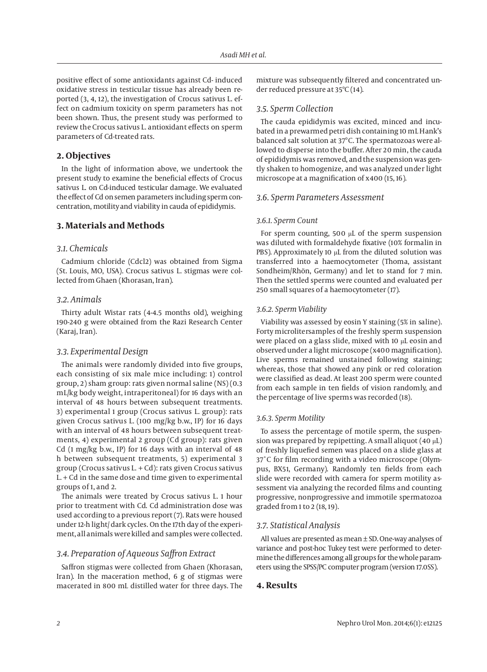positive effect of some antioxidants against Cd- induced oxidative stress in testicular tissue has already been reported (3, 4, 12), the investigation of Crocus sativus L. effect on cadmium toxicity on sperm parameters has not been shown. Thus, the present study was performed to review the Crocus sativus L. antioxidant effects on sperm parameters of Cd-treated rats.

# **2. Objectives**

In the light of information above, we undertook the present study to examine the beneficial effects of Crocus sativus L. on Cd-induced testicular damage. We evaluated the effect of Cd on semen parameters including sperm concentration, motility and viability in cauda of epididymis.

# **3. Materials and Methods**

# *3.1. Chemicals*

Cadmium chloride (Cdcl2) was obtained from Sigma (St. Louis, MO, USA). Crocus sativus L. stigmas were collected from Ghaen (Khorasan, Iran).

### *3.2. Animals*

Thirty adult Wistar rats (4-4.5 months old), weighing 190-240 g were obtained from the Razi Research Center (Karaj, Iran).

# *3.3. Experimental Design*

The animals were randomly divided into five groups, each consisting of six male mice including: 1) control group, 2) sham group: rats given normal saline (NS) (0.3 mL/kg body weight, intraperitoneal) for 16 days with an interval of 48 hours between subsequent treatments. 3) experimental 1 group (Crocus sativus L. group): rats given Crocus sativus L. (100 mg/kg b.w., IP) for 16 days with an interval of 48 hours between subsequent treatments, 4) experimental 2 group (Cd group): rats given Cd (1 mg/kg b.w., IP) for 16 days with an interval of 48 h between subsequent treatments, 5) experimental 3 group (Crocus sativus L. + Cd): rats given Crocus sativus L. + Cd in the same dose and time given to experimental groups of 1, and 2.

The animals were treated by Crocus sativus L. 1 hour prior to treatment with Cd. Cd administration dose was used according to a previous report (7). Rats were housed under 12-h light/ dark cycles. On the 17th day of the experiment, all animals were killed and samples were collected.

# *3.4. Preparation of Aqueous Saffron Extract*

Saffron stigmas were collected from Ghaen (Khorasan, Iran). In the maceration method, 6 g of stigmas were macerated in 800 mL distilled water for three days. The mixture was subsequently filtered and concentrated under reduced pressure at 35ºC (14).

### *3.5. Sperm Collection*

The cauda epididymis was excited, minced and incubated in a prewarmed petri dish containing 10 mL Hank's balanced salt solution at 37°C. The spermatozoas were allowed to disperse into the buffer. After 20 min, the cauda of epididymis was removed, and the suspension was gently shaken to homogenize, and was analyzed under light microscope at a magnification of x400 (15, 16).

#### *3.6. Sperm Parameters Assessment*

#### *3.6.1. Sperm Count*

For sperm counting, 500 μL of the sperm suspension was diluted with formaldehyde fixative (10% formalin in PBS). Approximately 10 μL from the diluted solution was transferred into a haemocytometer (Thoma, assistant Sondheim/Rhön, Germany) and let to stand for 7 min. Then the settled sperms were counted and evaluated per 250 small squares of a haemocytometer (17).

#### *3.6.2. Sperm Viability*

Viability was assessed by eosin Y staining (5% in saline). Forty microlitersamples of the freshly sperm suspension were placed on a glass slide, mixed with 10 μL eosin and observed under a light microscope (x400 magnification). Live sperms remained unstained following staining; whereas, those that showed any pink or red coloration were classified as dead. At least 200 sperm were counted from each sample in ten fields of vision randomly, and the percentage of live sperms was recorded (18).

#### *3.6.3. Sperm Motility*

To assess the percentage of motile sperm, the suspension was prepared by repipetting. A small aliquot (40 μL) of freshly liquefied semen was placed on a slide glass at 37˚C for film recording with a video microscope (Olympus, BX51, Germany). Randomly ten fields from each slide were recorded with camera for sperm motility assessment via analyzing the recorded films and counting progressive, nonprogressive and immotile spermatozoa graded from 1 to 2 (18, 19).

### *3.7. Statistical Analysis*

All values are presented as mean  $\pm$  SD. One-way analyses of variance and post-hoc Tukey test were performed to determine the differences among all groups for the whole parameters using the SPSS/PC computer program (version 17.0SS).

### **4. Results**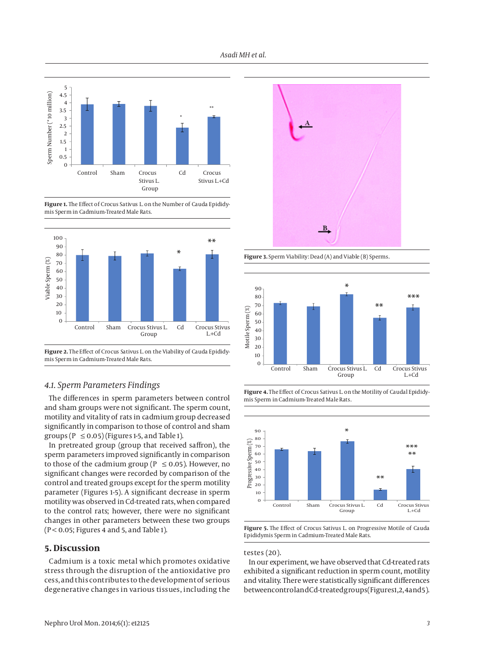



**Figure 1.** The Effect of Crocus Sativus L. on the Number of Cauda Epididymis Sperm in Cadmium-Treated Male Rats.



**Figure 2.** The Effect of Crocus Sativus L. on the Viability of Cauda Epididymis Sperm in Cadmium-Treated Male Rats.

# *4.1. Sperm Parameters Findings*

The differences in sperm parameters between control and sham groups were not significant. The sperm count, motility and vitality of rats in cadmium group decreased significantly in comparison to those of control and sham groups ( $P \le 0.05$ ) (Figures 1-5, and Table 1).

In pretreated group (group that received saffron), the sperm parameters improved significantly in comparison to those of the cadmium group ( $P \le 0.05$ ). However, no significant changes were recorded by comparison of the control and treated groups except for the sperm motility parameter (Figures 1-5). A significant decrease in sperm motility was observed in Cd-treated rats, when compared to the control rats; however, there were no significant changes in other parameters between these two groups  $(P < 0.05;$  Figures 4 and 5, and Table 1).

# **5. Discussion**

Cadmium is a toxic metal which promotes oxidative stress through the disruption of the antioxidative pro cess, and this contributes to the development of serious degenerative changes in various tissues, including the



**Figure 3.** Sperm Viability: Dead (A) and Viable (B) Sperms.



**Figure 4.** The Effect of Crocus Sativus L. on the Motility of Caudal Epididymis Sperm in Cadmium-Treated Male Rats.



**Figure 5.** The Effect of Crocus Sativus L. on Progressive Motile of Cauda Epididymis Sperm in Cadmium-Treated Male Rats.

#### testes (20).

In our experiment, we have observed that Cd-treated rats exhibited a significant reduction in sperm count, motility and vitality. There were statistically significant differences between control and Cd-treated groups (Figures 1, 2, 4 and 5).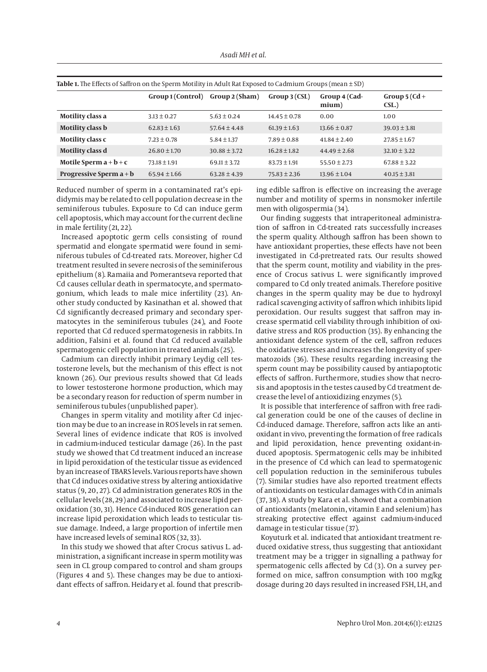| Table 1. The Effects of Saffron on the Sperm Motility in Adult Rat Exposed to Cadmium Groups (mean $\pm$ SD) |                   |                  |                  |                        |                         |
|--------------------------------------------------------------------------------------------------------------|-------------------|------------------|------------------|------------------------|-------------------------|
|                                                                                                              | Group 1 (Control) | Group 2 (Sham)   | Group 3(CSL)     | Group 4 (Cad-<br>mium) | Group $5$ (Cd +<br>CSL. |
| Motility class a                                                                                             | $3.13 \pm 0.27$   | $5.63 \pm 0.24$  | $14.45 \pm 0.78$ | 0.00                   | 1.00                    |
| <b>Motility class b</b>                                                                                      | $62.83 \pm 1.63$  | $57.64 \pm 4.48$ | $61.39 \pm 1.63$ | $13.66 \pm 0.87$       | $39.03 \pm 3.81$        |
| Motility class c                                                                                             | $7.23 \pm 0.78$   | $5.84 \pm 1.37$  | $7.89 \pm 0.88$  | $41.84 \pm 2.40$       | $27.85 \pm 1.67$        |
| Motility class d                                                                                             | $26.80 \pm 1.70$  | $30.88 \pm 3.72$ | $16.28 \pm 1.82$ | $44.49 \pm 2.68$       | $32.10 \pm 3.22$        |
| Motile Sperm $a + b + c$                                                                                     | $73.18 \pm 1.91$  | $69.11 \pm 3.72$ | $83.73 \pm 1.91$ | $55.50 \pm 2.73$       | $67.88 \pm 3.22$        |
| Progressive Sperm $a + b$                                                                                    | $65.94 \pm 1.66$  | $63.28 \pm 4.39$ | $75.83 \pm 2.36$ | $13.96 \pm 1.04$       | $40.15 \pm 3.81$        |

Reduced number of sperm in a contaminated rat's epididymis may be related to cell population decrease in the seminiferous tubules. Exposure to Cd can induce germ cell apoptosis, which may account for the current decline in male fertility (21, 22).

Increased apoptotic germ cells consisting of round spermatid and elongate spermatid were found in seminiferous tubules of Cd-treated rats. Moreover, higher Cd treatment resulted in severe necrosis of the seminiferous epithelium (8). Ramaiia and Pomerantseva reported that Cd causes cellular death in spermatocyte, and spermatogonium, which leads to male mice infertility (23). Another study conducted by Kasinathan et al. showed that Cd significantly decreased primary and secondary spermatocytes in the seminiferous tubules (24), and Foote reported that Cd reduced spermatogenesis in rabbits. In addition, Falsini et al. found that Cd reduced available spermatogenic cell population in treated animals (25).

Cadmium can directly inhibit primary Leydig cell testosterone levels, but the mechanism of this effect is not known (26). Our previous results showed that Cd leads to lower testosterone hormone production, which may be a secondary reason for reduction of sperm number in seminiferous tubules (unpublished paper).

Changes in sperm vitality and motility after Cd injection may be due to an increase in ROS levels in rat semen. Several lines of evidence indicate that ROS is involved in cadmium-induced testicular damage (26). In the past study we showed that Cd treatment induced an increase in lipid peroxidation of the testicular tissue as evidenced by an increase of TBARS levels. Various reports have shown that Cd induces oxidative stress by altering antioxidative status (9, 20, 27). Cd administration generates ROS in the cellular levels (28, 29) and associated to increase lipid peroxidation (30, 31). Hence Cd-induced ROS generation can increase lipid peroxidation which leads to testicular tissue damage. Indeed, a large proportion of infertile men have increased levels of seminal ROS (32, 33).

In this study we showed that after Crocus sativus L. administration, a significant increase in sperm motility was seen in CL group compared to control and sham groups (Figures 4 and 5). These changes may be due to antioxidant effects of saffron. Heidary et al. found that prescribing edible saffron is effective on increasing the average number and motility of sperms in nonsmoker infertile men with oligospermia (34).

Our finding suggests that intraperitoneal administration of saffron in Cd-treated rats successfully increases the sperm quality. Although saffron has been shown to have antioxidant properties, these effects have not been investigated in Cd-pretreated rats. Our results showed that the sperm count, motility and viability in the presence of Crocus sativus L. were significantly improved compared to Cd only treated animals. Therefore positive changes in the sperm quality may be due to hydroxyl radical scavenging activity of saffron which inhibits lipid peroxidation. Our results suggest that saffron may increase spermatid cell viability through inhibition of oxidative stress and ROS production (35). By enhancing the antioxidant defence system of the cell, saffron reduces the oxidative stresses and increases the longevity of spermatozoids (36). These results regarding increasing the sperm count may be possibility caused by antiapoptotic effects of saffron. Furthermore, studies show that necrosis and apoptosis in the testes caused by Cd treatment decrease the level of antioxidizing enzymes (5).

It is possible that interference of saffron with free radical generation could be one of the causes of decline in Cd-induced damage. Therefore, saffron acts like an antioxidant in vivo, preventing the formation of free radicals and lipid peroxidation, hence preventing oxidant-induced apoptosis. Spermatogenic cells may be inhibited in the presence of Cd which can lead to spermatogenic cell population reduction in the seminiferous tubules (7). Similar studies have also reported treatment effects of antioxidants on testicular damages with Cd in animals (37, 38). A study by Kara et al. showed that a combination of antioxidants (melatonin, vitamin E and selenium) has streaking protective effect against cadmium-induced damage in testicular tissue (37).

Koyuturk et al. indicated that antioxidant treatment reduced oxidative stress, thus suggesting that antioxidant treatment may be a trigger in signalling a pathway for spermatogenic cells affected by Cd (3). On a survey performed on mice, saffron consumption with 100 mg/kg dosage during 20 days resulted in increased FSH, LH, and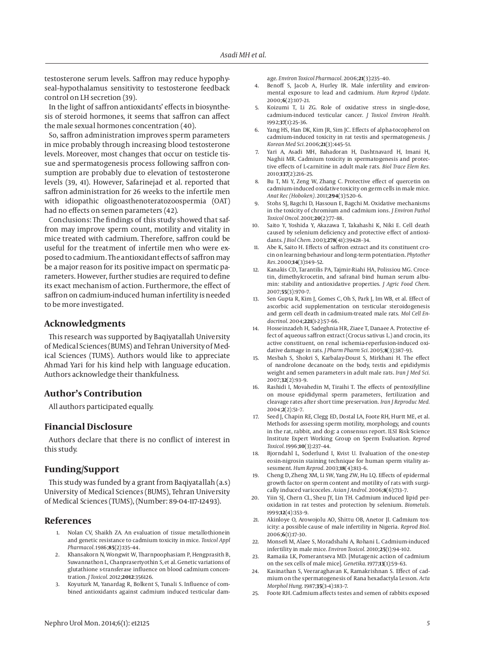testosterone serum levels. Saffron may reduce hypophyseal–hypothalamus sensitivity to testosterone feedback control on LH secretion (39).

In the light of saffron antioxidants' effects in biosynthesis of steroid hormones, it seems that saffron can affect the male sexual hormones concentration (40).

So, saffron administration improves sperm parameters in mice probably through increasing blood testosterone levels. Moreover, most changes that occur on testicle tissue and spermatogenesis process following saffron consumption are probably due to elevation of testosterone levels (39, 41). However, Safarinejad et al. reported that saffron administration for 26 weeks to the infertile men with idiopathic oligoasthenoteratozoospermia (OAT) had no effects on semen parameters (42).

Conclusions: The findings of this study showed that saffron may improve sperm count, motility and vitality in mice treated with cadmium. Therefore, saffron could be useful for the treatment of infertile men who were exposed to cadmium. The antioxidant effects of saffron may be a major reason for its positive impact on spermatic parameters. However, further studies are required to define its exact mechanism of action. Furthermore, the effect of saffron on cadmium-induced human infertility is needed to be more investigated.

# **Acknowledgments**

This research was supported by Baqiyatallah University of Medical Sciences (BUMS) and Tehran University of Medical Sciences (TUMS). Authors would like to appreciate Ahmad Yari for his kind help with language education. Authors acknowledge their thankfulness.

### **Author's Contribution**

All authors participated equally.

# **Financial Disclosure**

Authors declare that there is no conflict of interest in this study.

# **Funding/Support**

This study was funded by a grant from Baqiyatallah (a.s) University of Medical Sciences (BUMS), Tehran University of Medical Sciences (TUMS), (Number: 89-04-117-12493).

### **References**

- 1. Nolan CV, Shaikh ZA. An evaluation of tissue metallothionein and genetic resistance to cadmium toxicity in mice. *Toxicol Appl Pharmacol.* 1986;**85**(2):135–44.
- 2. Khansakorn N, Wongwit W, Tharnpoophasiam P, Hengprasith B, Suwannathon L, Chanprasertyothin S, et al. Genetic variations of glutathione s-transferase influence on blood cadmium concentration. *J Toxicol.* 2012;**2012**:356126.
- 3. Koyuturk M, Yanardag R, Bolkent S, Tunali S. Influence of combined antioxidants against cadmium induced testicular dam-

age. *Environ Toxicol Pharmacol.* 2006;**21**(3):235–40.

- 4. Benoff S, Jacob A, Hurley IR. Male infertility and environmental exposure to lead and cadmium. *Hum Reprod Update.* 2000;**6**(2):107–21.
- 5. Koizumi T, Li ZG. Role of oxidative stress in single-dose, cadmium-induced testicular cancer. *J Toxicol Environ Health.* 1992;**37**(1):25–36.
- Yang HS, Han DK, Kim JR, Sim JC. Effects of alpha-tocopherol on cadmium-induced toxicity in rat testis and spermatogenesis. *J Korean Med Sci.* 2006;**21**(3):445–51.
- 7. Yari A, Asadi MH, Bahadoran H, Dashtnavard H, Imani H, Naghii MR. Cadmium toxicity in spermatogenesis and protective effects of L-carnitine in adult male rats. *Biol Trace Elem Res.* 2010;**137**(2):216–25.
- Bu T, Mi Y, Zeng W, Zhang C. Protective effect of quercetin on cadmium-induced oxidative toxicity on germ cells in male mice. *Anat Rec (Hoboken).* 2011;**294**(3):520–6.
- 9. Stohs SJ, Bagchi D, Hassoun E, Bagchi M. Oxidative mechanisms in the toxicity of chromium and cadmium ions. *J Environ Pathol Toxicol Oncol.* 2001;**20**(2):77–88.
- 10. Saito Y, Yoshida Y, Akazawa T, Takahashi K, Niki E. Cell death caused by selenium deficiency and protective effect of antioxidants. *J Biol Chem.* 2003;**278**(41):39428–34.
- 11. Abe K, Saito H. Effects of saffron extract and its constituent crocin on learning behaviour and long-term potentiation. *Phytother Res.* 2000;**14**(3):149–52.
- 12. Kanakis CD, Tarantilis PA, Tajmir-Riahi HA, Polissiou MG. Crocetin, dimethylcrocetin, and safranal bind human serum albumin: stability and antioxidative properties. *J Agric Food Chem.* 2007;**55**(3):970–7.
- 13. Sen Gupta R, Kim J, Gomes C, Oh S, Park J, Im WB, et al. Effect of ascorbic acid supplementation on testicular steroidogenesis and germ cell death in cadmium-treated male rats. *Mol Cell Endocrinol.* 2004;**221**(1-2):57–66.
- 14. Hosseinzadeh H, Sadeghnia HR, Ziaee T, Danaee A. Protective effect of aqueous saffron extract (Crocus sativus L.) and crocin, its active constituent, on renal ischemia-reperfusion-induced oxidative damage in rats. *J Pharm Pharm Sci.* 2005;**8**(3):387–93.
- 15. Mesbah S, Shokri S, Karbalay-Doust S, Mirkhani H. The effect of nandrolone decanoate on the body, testis and epididymis weight and semen parameters in adult male rats. *Iran J Med Sci.* 2007;**32**(2):93–9.
- 16. Rashidi I, Movahedin M, Tiraihi T. The effects of pentoxifylline on mouse epididymal sperm parameters, fertilization and cleavage rates after short time preservation. *Iran J Reproduc Med.* 2004;**2**(2):51–7.
- 17. Seed J, Chapin RE, Clegg ED, Dostal LA, Foote RH, Hurtt ME, et al. Methods for assessing sperm motility, morphology, and counts in the rat, rabbit, and dog: a consensus report. ILSI Risk Science Institute Expert Working Group on Sperm Evaluation. *Reprod Toxicol.* 1996;**10**(3):237–44.
- 18. Bjorndahl L, Soderlund I, Kvist U. Evaluation of the one-step eosin-nigrosin staining technique for human sperm vitality assessment. *Hum Reprod.* 2003;**18**(4):813–6.
- 19. Cheng D, Zheng XM, Li SW, Yang ZW, Hu LQ. Effects of epidermal growth factor on sperm content and motility of rats with surgically induced varicoceles. *Asian J Androl.* 2006;**8**(6):713–7.
- 20. Yiin SJ, Chern CL, Sheu JY, Lin TH. Cadmium induced lipid peroxidation in rat testes and protection by selenium. *Biometals.* 1999;**12**(4):353–9.
- 21. Akinloye O, Arowojolu AO, Shittu OB, Anetor JI. Cadmium toxicity: a possible cause of male infertility in Nigeria. *Reprod Biol.* 2006;**6**(1):17–30.
- 22. Monsefi M, Alaee S, Moradshahi A, Rohani L. Cadmium-induced infertility in male mice. *Environ Toxicol.* 2010;**25**(1):94–102.
- 23. Ramaiia LK, Pomerantseva MD. [Mutagenic action of cadmium on the sex cells of male mice]. *Genetika.* 1977;**13**(1):59–63.
- 24. Kasinathan S, Veeraraghavan K, Ramakrishnan S. Effect of cadmium on the spermatogenesis of Rana hexadactyla Lesson. *Acta Morphol Hung.* 1987;**35**(3-4):183–7.
- 25. Foote RH. Cadmium affects testes and semen of rabbits exposed